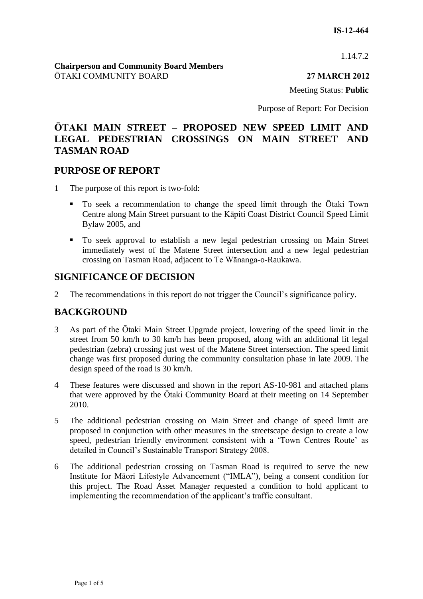1.14.7.2

#### **Chairperson and Community Board Members** ŌTAKI COMMUNITY BOARD **27 MARCH 2012**

Meeting Status: **Public**

Purpose of Report: For Decision

# **ŌTAKI MAIN STREET – PROPOSED NEW SPEED LIMIT AND LEGAL PEDESTRIAN CROSSINGS ON MAIN STREET AND TASMAN ROAD**

# **PURPOSE OF REPORT**

- 1 The purpose of this report is two-fold:
	- To seek a recommendation to change the speed limit through the Ōtaki Town Centre along Main Street pursuant to the Kāpiti Coast District Council Speed Limit Bylaw 2005, and
	- To seek approval to establish a new legal pedestrian crossing on Main Street immediately west of the Matene Street intersection and a new legal pedestrian crossing on Tasman Road, adjacent to Te Wānanga-o-Raukawa.

# **SIGNIFICANCE OF DECISION**

2 The recommendations in this report do not trigger the Council's significance policy.

# **BACKGROUND**

- 3 As part of the Ōtaki Main Street Upgrade project, lowering of the speed limit in the street from 50 km/h to 30 km/h has been proposed, along with an additional lit legal pedestrian (zebra) crossing just west of the Matene Street intersection. The speed limit change was first proposed during the community consultation phase in late 2009. The design speed of the road is 30 km/h.
- 4 These features were discussed and shown in the report AS-10-981 and attached plans that were approved by the Ōtaki Community Board at their meeting on 14 September 2010.
- 5 The additional pedestrian crossing on Main Street and change of speed limit are proposed in conjunction with other measures in the streetscape design to create a low speed, pedestrian friendly environment consistent with a 'Town Centres Route' as detailed in Council's Sustainable Transport Strategy 2008.
- 6 The additional pedestrian crossing on Tasman Road is required to serve the new Institute for Māori Lifestyle Advancement ("IMLA"), being a consent condition for this project. The Road Asset Manager requested a condition to hold applicant to implementing the recommendation of the applicant's traffic consultant.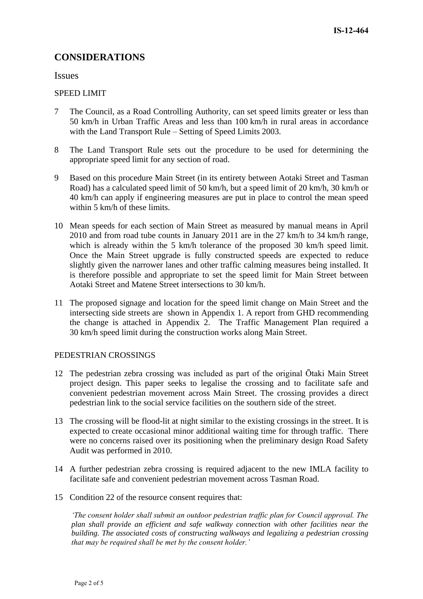# **CONSIDERATIONS**

Issues

#### SPEED LIMIT

- 7 The Council, as a Road Controlling Authority, can set speed limits greater or less than 50 km/h in Urban Traffic Areas and less than 100 km/h in rural areas in accordance with the Land Transport Rule – Setting of Speed Limits 2003.
- 8 The Land Transport Rule sets out the procedure to be used for determining the appropriate speed limit for any section of road.
- 9 Based on this procedure Main Street (in its entirety between Aotaki Street and Tasman Road) has a calculated speed limit of 50 km/h, but a speed limit of 20 km/h, 30 km/h or 40 km/h can apply if engineering measures are put in place to control the mean speed within 5 km/h of these limits.
- 10 Mean speeds for each section of Main Street as measured by manual means in April 2010 and from road tube counts in January 2011 are in the 27 km/h to 34 km/h range, which is already within the 5 km/h tolerance of the proposed 30 km/h speed limit. Once the Main Street upgrade is fully constructed speeds are expected to reduce slightly given the narrower lanes and other traffic calming measures being installed. It is therefore possible and appropriate to set the speed limit for Main Street between Aotaki Street and Matene Street intersections to 30 km/h.
- 11 The proposed signage and location for the speed limit change on Main Street and the intersecting side streets are shown in Appendix 1. A report from GHD recommending the change is attached in Appendix 2. The Traffic Management Plan required a 30 km/h speed limit during the construction works along Main Street.

#### PEDESTRIAN CROSSINGS

- 12 The pedestrian zebra crossing was included as part of the original Ōtaki Main Street project design. This paper seeks to legalise the crossing and to facilitate safe and convenient pedestrian movement across Main Street. The crossing provides a direct pedestrian link to the social service facilities on the southern side of the street.
- 13 The crossing will be flood-lit at night similar to the existing crossings in the street. It is expected to create occasional minor additional waiting time for through traffic. There were no concerns raised over its positioning when the preliminary design Road Safety Audit was performed in 2010.
- 14 A further pedestrian zebra crossing is required adjacent to the new IMLA facility to facilitate safe and convenient pedestrian movement across Tasman Road.
- 15 Condition 22 of the resource consent requires that:

*'The consent holder shall submit an outdoor pedestrian traffic plan for Council approval. The plan shall provide an efficient and safe walkway connection with other facilities near the building. The associated costs of constructing walkways and legalizing a pedestrian crossing that may be required shall be met by the consent holder.'*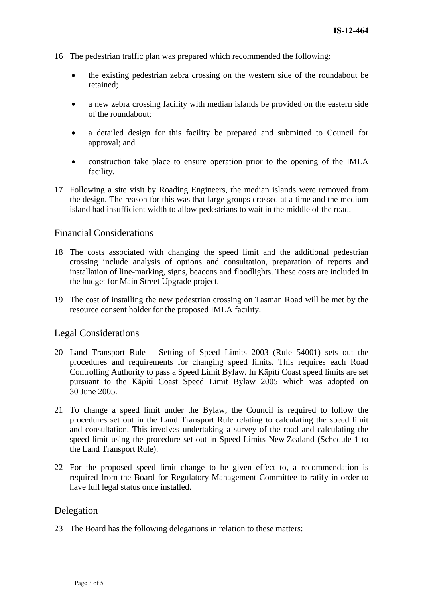- 16 The pedestrian traffic plan was prepared which recommended the following:
	- the existing pedestrian zebra crossing on the western side of the roundabout be retained;
	- a new zebra crossing facility with median islands be provided on the eastern side of the roundabout;
	- a detailed design for this facility be prepared and submitted to Council for approval; and
	- construction take place to ensure operation prior to the opening of the IMLA facility.
- 17 Following a site visit by Roading Engineers, the median islands were removed from the design. The reason for this was that large groups crossed at a time and the medium island had insufficient width to allow pedestrians to wait in the middle of the road.

# Financial Considerations

- 18 The costs associated with changing the speed limit and the additional pedestrian crossing include analysis of options and consultation, preparation of reports and installation of line-marking, signs, beacons and floodlights. These costs are included in the budget for Main Street Upgrade project.
- 19 The cost of installing the new pedestrian crossing on Tasman Road will be met by the resource consent holder for the proposed IMLA facility.

# Legal Considerations

- 20 Land Transport Rule Setting of Speed Limits 2003 (Rule 54001) sets out the procedures and requirements for changing speed limits. This requires each Road Controlling Authority to pass a Speed Limit Bylaw. In Kāpiti Coast speed limits are set pursuant to the Kāpiti Coast Speed Limit Bylaw 2005 which was adopted on 30 June 2005.
- 21 To change a speed limit under the Bylaw, the Council is required to follow the procedures set out in the Land Transport Rule relating to calculating the speed limit and consultation. This involves undertaking a survey of the road and calculating the speed limit using the procedure set out in Speed Limits New Zealand (Schedule 1 to the Land Transport Rule).
- 22 For the proposed speed limit change to be given effect to, a recommendation is required from the Board for Regulatory Management Committee to ratify in order to have full legal status once installed.

# Delegation

23 The Board has the following delegations in relation to these matters: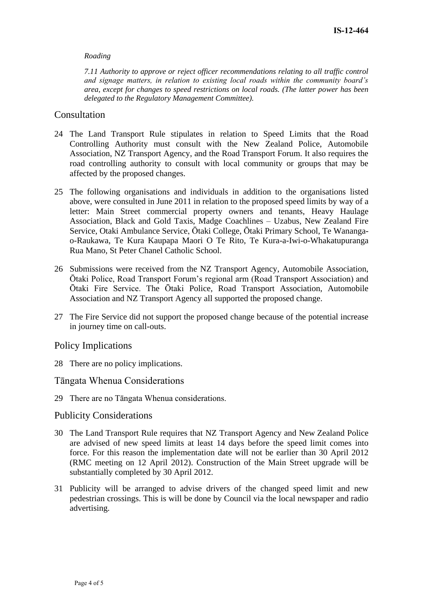#### *Roading*

*7.11 Authority to approve or reject officer recommendations relating to all traffic control and signage matters, in relation to existing local roads within the community board's area, except for changes to speed restrictions on local roads. (The latter power has been delegated to the Regulatory Management Committee).*

## Consultation

- 24 The Land Transport Rule stipulates in relation to Speed Limits that the Road Controlling Authority must consult with the New Zealand Police, Automobile Association, NZ Transport Agency, and the Road Transport Forum. It also requires the road controlling authority to consult with local community or groups that may be affected by the proposed changes.
- 25 The following organisations and individuals in addition to the organisations listed above, were consulted in June 2011 in relation to the proposed speed limits by way of a letter: Main Street commercial property owners and tenants, Heavy Haulage Association, Black and Gold Taxis, Madge Coachlines – Uzabus, New Zealand Fire Service, Otaki Ambulance Service, Ōtaki College, Ōtaki Primary School, Te Wanangao-Raukawa, Te Kura Kaupapa Maori O Te Rito, Te Kura-a-Iwi-o-Whakatupuranga Rua Mano, St Peter Chanel Catholic School.
- 26 Submissions were received from the NZ Transport Agency, Automobile Association, Ōtaki Police, Road Transport Forum's regional arm (Road Transport Association) and Ōtaki Fire Service. The Ōtaki Police, Road Transport Association, Automobile Association and NZ Transport Agency all supported the proposed change.
- 27 The Fire Service did not support the proposed change because of the potential increase in journey time on call-outs.

#### Policy Implications

28 There are no policy implications.

## Tāngata Whenua Considerations

29 There are no Tāngata Whenua considerations.

#### Publicity Considerations

- 30 The Land Transport Rule requires that NZ Transport Agency and New Zealand Police are advised of new speed limits at least 14 days before the speed limit comes into force. For this reason the implementation date will not be earlier than 30 April 2012 (RMC meeting on 12 April 2012). Construction of the Main Street upgrade will be substantially completed by 30 April 2012.
- 31 Publicity will be arranged to advise drivers of the changed speed limit and new pedestrian crossings. This is will be done by Council via the local newspaper and radio advertising.